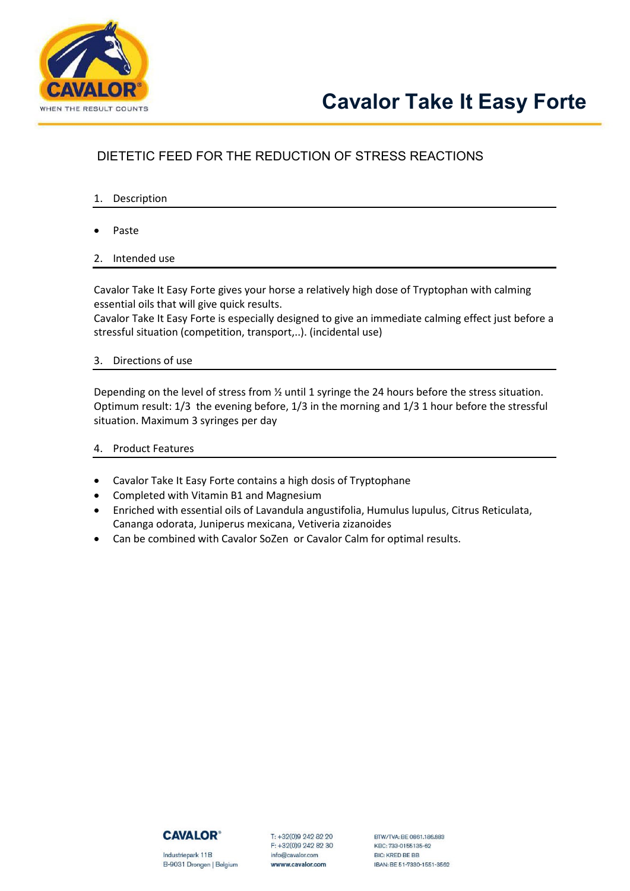

## DIETETIC FEED FOR THE REDUCTION OF STRESS REACTIONS

- 1. Description
- Paste
- 2. Intended use

Cavalor Take It Easy Forte gives your horse a relatively high dose of Tryptophan with calming essential oils that will give quick results.

Cavalor Take It Easy Forte is especially designed to give an immediate calming effect just before a stressful situation (competition, transport,..). (incidental use)

3. Directions of use

Depending on the level of stress from ½ until 1 syringe the 24 hours before the stress situation. Optimum result: 1/3 the evening before, 1/3 in the morning and 1/3 1 hour before the stressful situation. Maximum 3 syringes per day

- 4. Product Features
- Cavalor Take It Easy Forte contains a high dosis of Tryptophane
- Completed with Vitamin B1 and Magnesium
- Enriched with essential oils of Lavandula angustifolia, Humulus lupulus, Citrus Reticulata, Cananga odorata, Juniperus mexicana, Vetiveria zizanoides
- Can be combined with Cavalor SoZen or Cavalor Calm for optimal results.



Industriepark 11B B-9031 Drongen | Belgium T: +32(0)9 242 82 20 F: +32(0)9 242 82 30 info@cavalor.com wwww.cavalor.com

BTW/TVA: RF 0861.186.883 KBC: 733-0155135-62 BIC: KRED BE BB IBAN: BE 51-7330-1551-3562